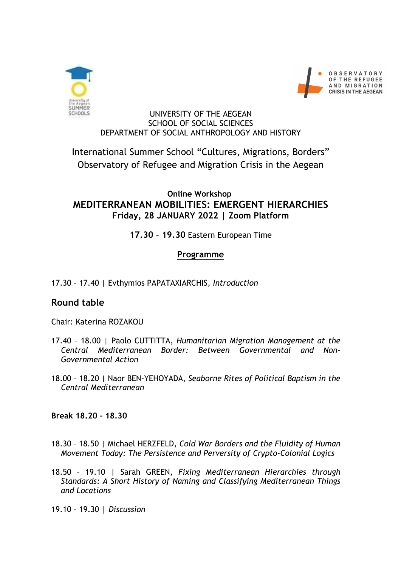



#### UNIVERSITY OF THE AEGEAN SCHOOL OF SOCIAL SCIENCES DEPARTMENT OF SOCIAL ANTHROPOLOGY AND HISTORY

# International Summer School "Cultures, Migrations, Borders" Observatory of Refugee and Migration Crisis in the Aegean

### **Online Workshop MEDITERRANEAN MOBILITIES: EMERGENT HIERARCHIES Friday, 28 JANUARY 2022 | Zoom Platform**

## **17.30 – 19.30** Eastern European Time

### **Programme**

17.30 – 17.40 *|* Evthymios PAPATAXIARCHIS, *Introduction*

## **Round table**

Chair: Katerina ROZAKOU

- 17.40 18.00 *|* Paolo CUTTITTA, *Humanitarian Migration Management at the Central Mediterranean Border: Between Governmental and Non-Governmental Action*
- 18.00 18.20 | Naor BEN-YEHOYADA**,** *Seaborne Rites of Political Baptism in the Central Mediterranean*

**Break 18.20 – 18.30**

- 18.30 18.50 *|* Michael HERZFELD, *Cold War Borders and the Fluidity of Human Movement Today: The Persistence and Perversity of Crypto-Colonial Logics*
- 18.50 19.10 | Sarah GREEN, *Fixing Mediterranean Hierarchies through Standards: A Short History of Naming and Classifying Mediterranean Things and Locations*

19.10 – 19.30 **|** *Discussion*